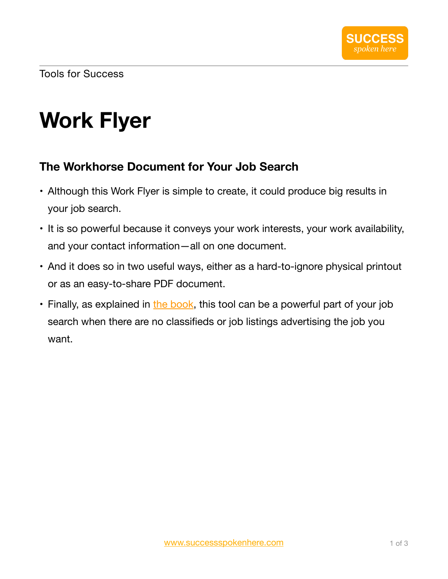Tools for Success

## **Work Flyer**

## **The Workhorse Document for Your Job Search**

- Although this Work Flyer is simple to create, it could produce big results in your job search.
- It is so powerful because it conveys your work interests, your work availability, and your contact information—all on one document.
- And it does so in two useful ways, either as a hard-to-ignore physical printout or as an easy-to-share PDF document.
- Finally, as explained in [the book,](https://www.successpokenhere.com/success_spoken_here.html) this tool can be a powerful part of your job search when there are no classifieds or job listings advertising the job you want.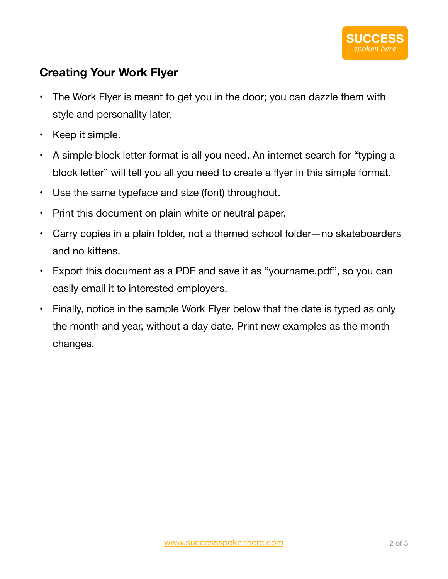## **Creating Your Work Flyer**

- The Work Flyer is meant to get you in the door; you can dazzle them with style and personality later.
- Keep it simple.
- A simple block letter format is all you need. An internet search for "typing a block letter" will tell you all you need to create a flyer in this simple format.
- Use the same typeface and size (font) throughout.
- Print this document on plain white or neutral paper.
- Carry copies in a plain folder, not a themed school folder—no skateboarders and no kittens.
- Export this document as a PDF and save it as "yourname.pdf", so you can easily email it to interested employers.
- Finally, notice in the sample Work Flyer below that the date is typed as only the month and year, without a day date. Print new examples as the month changes.